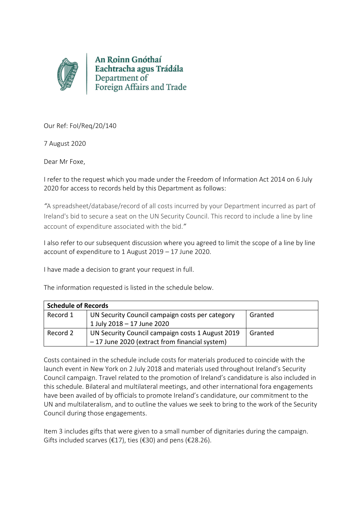

An Roinn Gnóthaí Eachtracha agus Trádála Department of Foreign Affairs and Trade

Our Ref: FoI/Req/20/140

7 August 2020

Dear Mr Foxe,

I refer to the request which you made under the Freedom of Information Act 2014 on 6 July 2020 for access to records held by this Department as follows:

*"*A spreadsheet/database/record of all costs incurred by your Department incurred as part of Ireland's bid to secure a seat on the UN Security Council. This record to include a line by line account of expenditure associated with the bid.*"*

I also refer to our subsequent discussion where you agreed to limit the scope of a line by line account of expenditure to 1 August 2019 – 17 June 2020.

I have made a decision to grant your request in full.

The information requested is listed in the schedule below.

| <b>Schedule of Records</b> |                                                  |         |
|----------------------------|--------------------------------------------------|---------|
| Record 1                   | UN Security Council campaign costs per category  | Granted |
|                            | 1 July 2018 - 17 June 2020                       |         |
| Record 2                   | UN Security Council campaign costs 1 August 2019 | Granted |
|                            | -17 June 2020 (extract from financial system)    |         |

Costs contained in the schedule include costs for materials produced to coincide with the launch event in New York on 2 July 2018 and materials used throughout Ireland's Security Council campaign. Travel related to the promotion of Ireland's candidature is also included in this schedule. Bilateral and multilateral meetings, and other international fora engagements have been availed of by officials to promote Ireland's candidature, our commitment to the UN and multilateralism, and to outline the values we seek to bring to the work of the Security Council during those engagements.

Item 3 includes gifts that were given to a small number of dignitaries during the campaign. Gifts included scarves ( $\epsilon$ 17), ties ( $\epsilon$ 30) and pens ( $\epsilon$ 28.26).